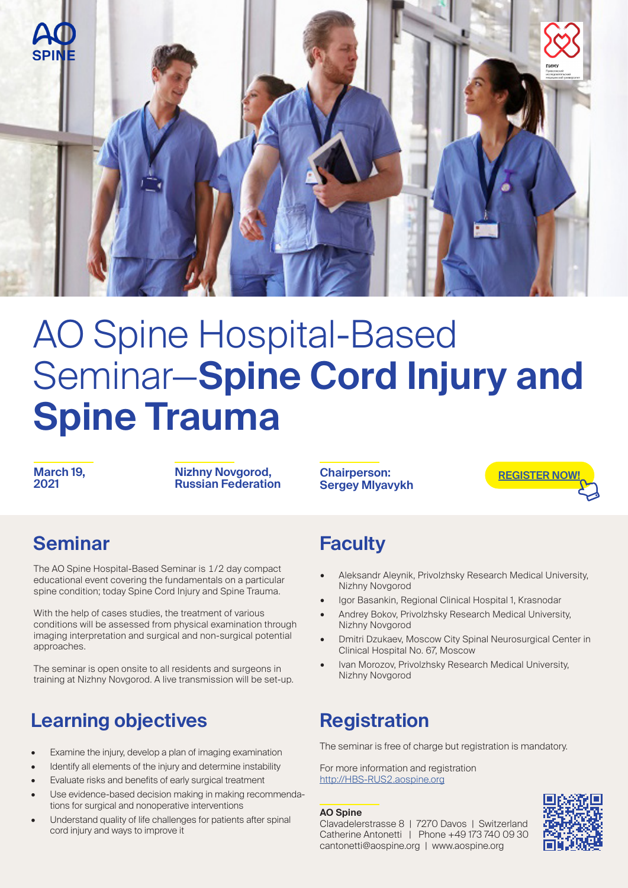

# AO Spine Hospital-Based Seminar—**Spine Cord Injury and Spine Trauma**

**March 19, 2021**

**Nizhny Novgorod, Russian Federation**

**Chairperson: Sergey Mlyavykh**



#### **Seminar**

The AO Spine Hospital-Based Seminar is 1/2 day compact educational event covering the fundamentals on a particular spine condition; today Spine Cord Injury and Spine Trauma.

With the help of cases studies, the treatment of various conditions will be assessed from physical examination through imaging interpretation and surgical and non-surgical potential approaches.

The seminar is open onsite to all residents and surgeons in training at Nizhny Novgorod. A live transmission will be set-up.

### **Learning objectives**

- Examine the injury, develop a plan of imaging examination
- Identify all elements of the injury and determine instability
- Evaluate risks and benefits of early surgical treatment
- Use evidence-based decision making in making recommendations for surgical and nonoperative interventions
- Understand quality of life challenges for patients after spinal cord injury and ways to improve it

### **Faculty**

- Aleksandr Aleynik, Privolzhsky Research Medical University, Nizhny Novgorod
- Igor Basankin, Regional Clinical Hospital 1, Krasnodar
- Andrey Bokov, Privolzhsky Research Medical University, Nizhny Novgorod
- Dmitri Dzukaev, Moscow City Spinal Neurosurgical Center in Clinical Hospital No. 67, Moscow
- Ivan Morozov, Privolzhsky Research Medical University, Nizhny Novgorod

#### **Registration**

The seminar is free of charge but registration is mandatory.

For more information and registration http://HBS-RUS2.aospine.org

#### **AO Spine**

Clavadelerstrasse 8 | 7270 Davos | Switzerland Catherine Antonetti | Phone +49 173 740 09 30 cantonetti@aospine.org | www.aospine.org